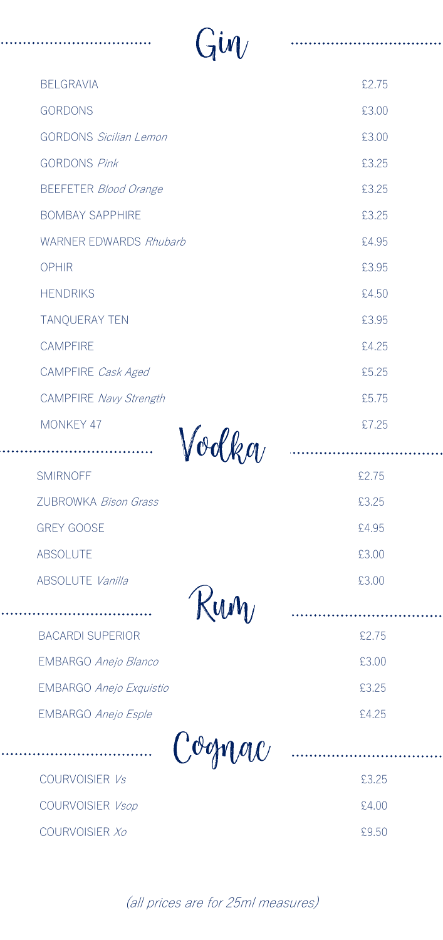| $\lim$                          |       |
|---------------------------------|-------|
| <b>BELGRAVIA</b>                | £2.75 |
| <b>GORDONS</b>                  | £3.00 |
| <b>GORDONS Sicilian Lemon</b>   | £3.00 |
| <b>GORDONS Pink</b>             | £3.25 |
| <b>BEEFETER Blood Orange</b>    | £3.25 |
| <b>BOMBAY SAPPHIRE</b>          | £3.25 |
| <b>WARNER EDWARDS Rhubarb</b>   | £4.95 |
| <b>OPHIR</b>                    | £3.95 |
| <b>HENDRIKS</b>                 | £4.50 |
| TANQUERAY TEN                   | £3.95 |
| <b>CAMPFIRE</b>                 | £4.25 |
| CAMPFIRE Cask Aged              | £5.25 |
| CAMPFIRE Navy Strength          | £5.75 |
| <b>MONKEY 47</b>                | £7.25 |
| $^{\prime\prime}$ k or $\prime$ |       |
|                                 |       |

. . . . . . . . .

. . . . . . . . . . . .

| <b>SMIRNOFF</b>             | \$2.75 |
|-----------------------------|--------|
| 7UBROWKA <i>Bison Grass</i> | £3.25  |
| <b>GREY GOOSE</b>           | £4.95  |
| ABSOLUTE                    | £3.00  |
| ABSOLUTE Vanilla            | £3.00  |

| KUM                            |        |
|--------------------------------|--------|
| <b>BACARDI SUPERIOR</b>        | £2.75  |
| <b>EMBARGO Anejo Blanco</b>    | £3.00  |
| <b>EMBARGO Anejo Exquistio</b> | £3.25  |
| <b>EMBARGO Anejo Esple</b>     | \$4.25 |
| Cognac                         |        |

| $  -$<br>__           |       |
|-----------------------|-------|
| COURVOISIER <i>Vs</i> | £3.25 |
| COURVOISIER Vsop      | f4.00 |
| COURVOISIER Xo        | 59.50 |

(all prices are for 25ml measures)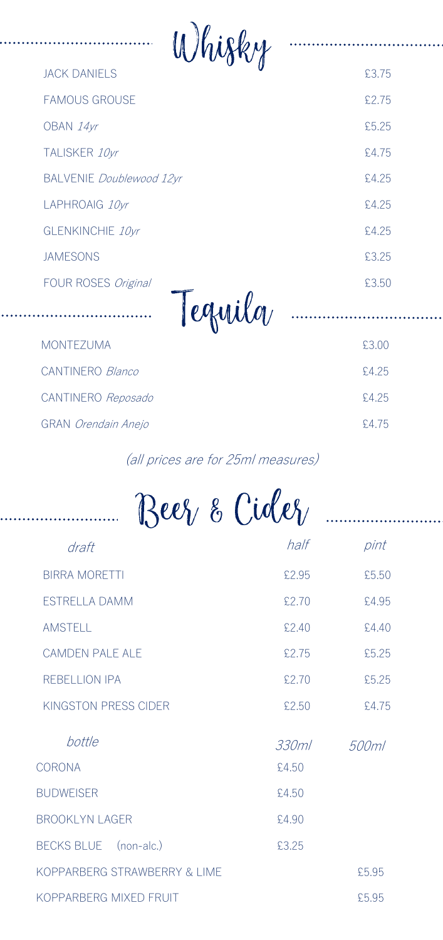| Whisky                          |       |
|---------------------------------|-------|
| <b>JACK DANIELS</b>             | £3.75 |
| <b>FAMOUS GROUSE</b>            | £2.75 |
| OBAN 14yr                       | £5.25 |
| TALISKER 10yr                   | £4.75 |
| <b>BALVENIE Doublewood 12yr</b> | £4.25 |
| LAPHROAIG 10yr                  | £4.25 |
| GLENKINCHIE 10yr                | £4.25 |
| <b>JAMESONS</b>                 | £3.25 |
| FOUR ROSES Original             | £3.50 |
| Tequilo                         |       |
| <b>MONTEZUMA</b>                | £3.00 |
| CANTINERO Blanco                | £4.25 |
| CANTINERO Reposado              | £4.25 |
| <b>GRAN</b> Orendain Anejo      | £4.75 |

. . . . . . .

. . . . . . .

## (all prices are for 25ml measures)

| Beez & Cidez                 |       |       |
|------------------------------|-------|-------|
| draft                        | half  | pint  |
| <b>BIRRA MORETTI</b>         | £2.95 | £5.50 |
| <b>ESTRELLA DAMM</b>         | £2.70 | £4.95 |
| <b>AMSTELL</b>               | £2.40 | £4.40 |
| <b>CAMDEN PALE ALE</b>       | £2.75 | £5.25 |
| <b>REBELLION IPA</b>         | £2.70 | £5.25 |
| KINGSTON PRESS CIDER         | £2.50 | £4.75 |
| bottle                       | 330ml | 500ml |
| <b>CORONA</b>                | £4.50 |       |
| <b>BUDWEISER</b>             | £4.50 |       |
| <b>BROOKLYN LAGER</b>        | £4.90 |       |
| BECKS BLUE (non-alc.)        | £3.25 |       |
| KOPPARBERG STRAWBERRY & LIME |       | £5.95 |
| KOPPARBERG MIXED FRUIT       |       | £5.95 |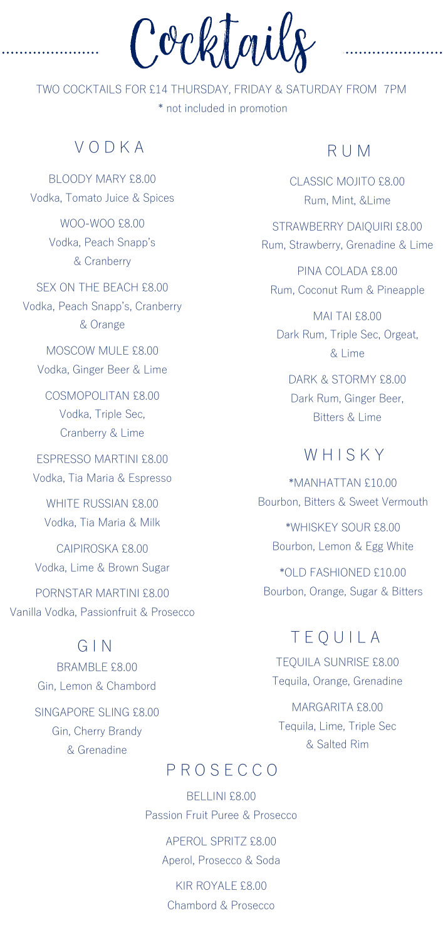Cocktails

TWO COCKTAILS FOR £14 THURSDAY, FRIDAY & SATURDAY FROM 7PM \* not included in promotion

#### $V \cap D K A$

BLOODY MARY £8.00 Vodka, Tomato Juice & Spices

> WOO-WOO £8.00 Vodka, Peach Snapp's & Cranberry

SEX ON THE BEACH £8.00 Vodka, Peach Snapp's, Cranberry & Orange

MOSCOW MULE £8.00 Vodka, Ginger Beer & Lime

COSMOPOLITAN £8.00 Vodka, Triple Sec, Cranberry & Lime

ESPRESSO MARTINI £8.00 Vodka, Tia Maria & Espresso

WHITE RUSSIAN £8.00 Vodka, Tia Maria & Milk

CAIPIROSKA £8.00 Vodka, Lime & Brown Sugar

PORNSTAR MARTINI £8.00 Vanilla Vodka, Passionfruit & Prosecco

#### G I N

BRAMBLE £8.00 Gin, Lemon & Chambord SINGAPORE SLING £8.00 Gin, Cherry Brandy & Grenadine

### R U M

CLASSIC MOJITO £8.00 Rum, Mint, &Lime

STRAWBERRY DAIQUIRI £8.00 Rum, Strawberry, Grenadine & Lime

PINA COLADA £8.00 Rum, Coconut Rum & Pineapple

MAI TAI £8.00 Dark Rum, Triple Sec, Orgeat, & Lime

DARK & STORMY £8.00 Dark Rum, Ginger Beer, Bitters & Lime

#### **WHISKY**

\*MANHATTAN £10.00 Bourbon, Bitters & Sweet Vermouth

\*WHISKEY SOUR £8.00 Bourbon, Lemon & Egg White

\*OLD FASHIONED £10.00 Bourbon, Orange, Sugar & Bitters

#### T E Q U I L A

TEQUILA SUNRISE £8.00 Tequila, Orange, Grenadine

MARGARITA £8.00 Tequila, Lime, Triple Sec & Salted Rim

#### P R O S E C C O

BELLINI £8.00 Passion Fruit Puree & Prosecco

> APEROL SPRITZ £8.00 Aperol, Prosecco & Soda

KIR ROYALE £8.00 Chambord & Prosecco